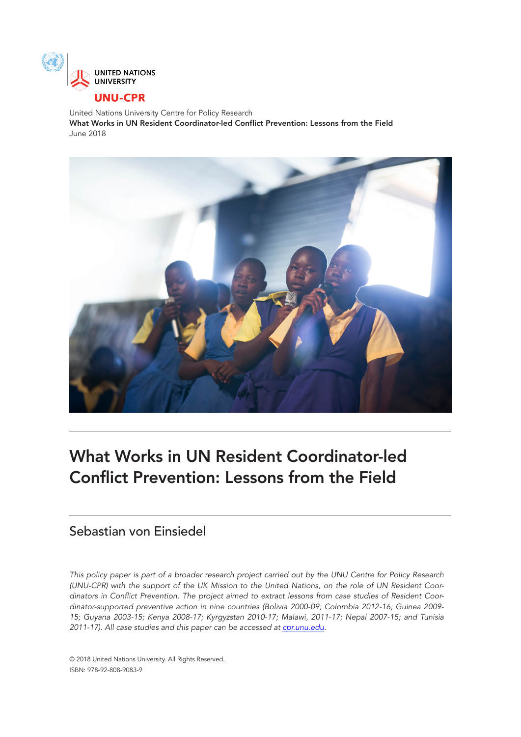

United Nations University Centre for Policy Research What Works in UN Resident Coordinator-led Conflict Prevention: Lessons from the Field June 2018



# What Works in UN Resident Coordinator-led Conflict Prevention: Lessons from the Field

# Sebastian von Einsiedel

*This policy paper is part of a broader research project carried out by the UNU Centre for Policy Research (UNU-CPR) with the support of the UK Mission to the United Nations, on the role of UN Resident Coordinators in Conflict Prevention. The project aimed to extract lessons from case studies of Resident Coordinator-supported preventive action in nine countries (Bolivia 2000-09; Colombia 2012-16; Guinea 2009- 15; Guyana 2003-15; Kenya 2008-17; Kyrgyzstan 2010-17; Malawi, 2011-17; Nepal 2007-15; and Tunisia 2011-17). All case studies and this paper can be accessed at [cpr.unu.edu](http://cpr.unu.edu/).*

© 2018 United Nations University. All Rights Reserved. ISBN: 978-92-808-9083-9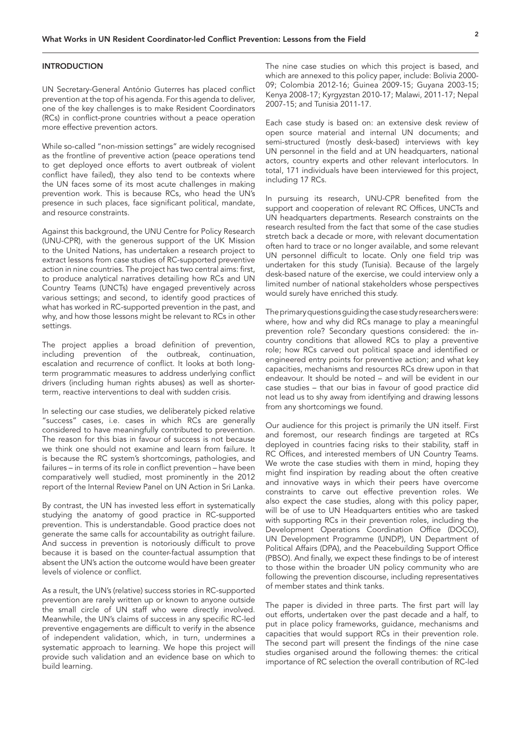#### **INTRODUCTION**

UN Secretary-General António Guterres has placed conflict prevention at the top of his agenda. For this agenda to deliver, one of the key challenges is to make Resident Coordinators (RCs) in conflict-prone countries without a peace operation more effective prevention actors.

While so-called "non-mission settings" are widely recognised as the frontline of preventive action (peace operations tend to get deployed once efforts to avert outbreak of violent conflict have failed), they also tend to be contexts where the UN faces some of its most acute challenges in making prevention work. This is because RCs, who head the UN's presence in such places, face significant political, mandate, and resource constraints.

Against this background, the UNU Centre for Policy Research (UNU-CPR), with the generous support of the UK Mission to the United Nations, has undertaken a research project to extract lessons from case studies of RC-supported preventive action in nine countries. The project has two central aims: first, to produce analytical narratives detailing how RCs and UN Country Teams (UNCTs) have engaged preventively across various settings; and second, to identify good practices of what has worked in RC-supported prevention in the past, and why, and how those lessons might be relevant to RCs in other settings.

The project applies a broad definition of prevention, including prevention of the outbreak, continuation, escalation and recurrence of conflict. It looks at both longterm programmatic measures to address underlying conflict drivers (including human rights abuses) as well as shorterterm, reactive interventions to deal with sudden crisis.

In selecting our case studies, we deliberately picked relative "success" cases, i.e. cases in which RCs are generally considered to have meaningfully contributed to prevention. The reason for this bias in favour of success is not because we think one should not examine and learn from failure. It is because the RC system's shortcomings, pathologies, and failures – in terms of its role in conflict prevention – have been comparatively well studied, most prominently in the 2012 report of the Internal Review Panel on UN Action in Sri Lanka.

By contrast, the UN has invested less effort in systematically studying the anatomy of good practice in RC-supported prevention. This is understandable. Good practice does not generate the same calls for accountability as outright failure. And success in prevention is notoriously difficult to prove because it is based on the counter-factual assumption that absent the UN's action the outcome would have been greater levels of violence or conflict.

As a result, the UN's (relative) success stories in RC-supported prevention are rarely written up or known to anyone outside the small circle of UN staff who were directly involved. Meanwhile, the UN's claims of success in any specific RC-led preventive engagements are difficult to verify in the absence of independent validation, which, in turn, undermines a systematic approach to learning. We hope this project will provide such validation and an evidence base on which to build learning.

The nine case studies on which this project is based, and which are annexed to this policy paper, include: Bolivia 2000- 09; Colombia 2012-16; Guinea 2009-15; Guyana 2003-15; Kenya 2008-17; Kyrgyzstan 2010-17; Malawi, 2011-17; Nepal 2007-15; and Tunisia 2011-17.

Each case study is based on: an extensive desk review of open source material and internal UN documents; and semi-structured (mostly desk-based) interviews with key UN personnel in the field and at UN headquarters, national actors, country experts and other relevant interlocutors. In total, 171 individuals have been interviewed for this project, including 17 RCs.

In pursuing its research, UNU-CPR benefited from the support and cooperation of relevant RC Offices, UNCTs and UN headquarters departments. Research constraints on the research resulted from the fact that some of the case studies stretch back a decade or more, with relevant documentation often hard to trace or no longer available, and some relevant UN personnel difficult to locate. Only one field trip was undertaken for this study (Tunisia). Because of the largely desk-based nature of the exercise, we could interview only a limited number of national stakeholders whose perspectives would surely have enriched this study.

The primary questions guiding the case study researchers were: where, how and why did RCs manage to play a meaningful prevention role? Secondary questions considered: the incountry conditions that allowed RCs to play a preventive role; how RCs carved out political space and identified or engineered entry points for preventive action; and what key capacities, mechanisms and resources RCs drew upon in that endeavour. It should be noted – and will be evident in our case studies – that our bias in favour of good practice did not lead us to shy away from identifying and drawing lessons from any shortcomings we found.

Our audience for this project is primarily the UN itself. First and foremost, our research findings are targeted at RCs deployed in countries facing risks to their stability, staff in RC Offices, and interested members of UN Country Teams. We wrote the case studies with them in mind, hoping they might find inspiration by reading about the often creative and innovative ways in which their peers have overcome constraints to carve out effective prevention roles. We also expect the case studies, along with this policy paper, will be of use to UN Headquarters entities who are tasked with supporting RCs in their prevention roles, including the Development Operations Coordination Office (DOCO), UN Development Programme (UNDP), UN Department of Political Affairs (DPA), and the Peacebuilding Support Office (PBSO). And finally, we expect these findings to be of interest to those within the broader UN policy community who are following the prevention discourse, including representatives of member states and think tanks.

The paper is divided in three parts. The first part will lay out efforts, undertaken over the past decade and a half, to put in place policy frameworks, guidance, mechanisms and capacities that would support RCs in their prevention role. The second part will present the findings of the nine case studies organised around the following themes: the critical importance of RC selection the overall contribution of RC-led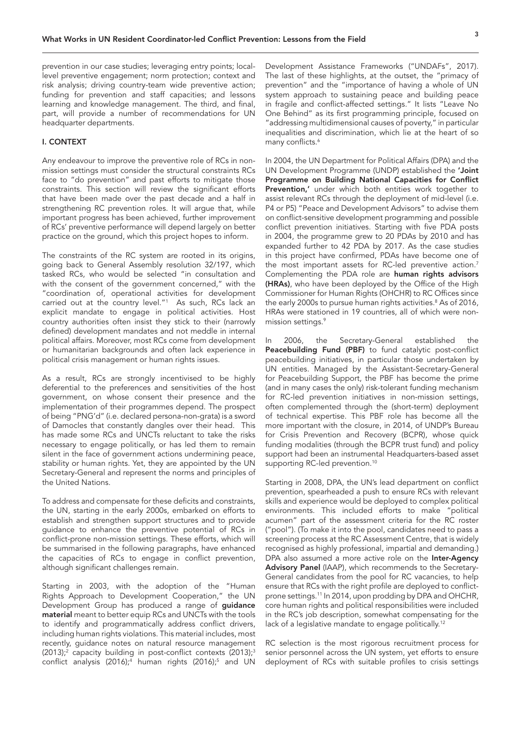<span id="page-2-0"></span>prevention in our case studies; leveraging entry points; locallevel preventive engagement; norm protection; context and risk analysis; driving country-team wide preventive action; funding for prevention and staff capacities; and lessons learning and knowledge management. The third, and final, part, will provide a number of recommendations for UN headquarter departments.

## I. CONTEXT

Any endeavour to improve the preventive role of RCs in nonmission settings must consider the structural constraints RCs face to "do prevention" and past efforts to mitigate those constraints. This section will review the significant efforts that have been made over the past decade and a half in strengthening RC prevention roles. It will argue that, while important progress has been achieved, further improvement of RCs' preventive performance will depend largely on better practice on the ground, which this project hopes to inform.

The constraints of the RC system are rooted in its origins, going back to General Assembly resolution 32/197, which tasked RCs, who would be selected "in consultation and with the consent of the government concerned," with the "coordination of, operational activities for development carried out at the country level.["1](#page-13-0) As such, RCs lack an explicit mandate to engage in political activities. Host country authorities often insist they stick to their (narrowly defined) development mandates and not meddle in internal political affairs. Moreover, most RCs come from development or humanitarian backgrounds and often lack experience in political crisis management or human rights issues.

As a result, RCs are strongly incentivised to be highly deferential to the preferences and sensitivities of the host government, on whose consent their presence and the implementation of their programmes depend. The prospect of being "PNG'd" (i.e. declared persona-non-grata) is a sword of Damocles that constantly dangles over their head. This has made some RCs and UNCTs reluctant to take the risks necessary to engage politically, or has led them to remain silent in the face of government actions undermining peace, stability or human rights. Yet, they are appointed by the UN Secretary-General and represent the norms and principles of the United Nations.

To address and compensate for these deficits and constraints, the UN, starting in the early 2000s, embarked on efforts to establish and strengthen support structures and to provide guidance to enhance the preventive potential of RCs in conflict-prone non-mission settings. These efforts, which will be summarised in the following paragraphs, have enhanced the capacities of RCs to engage in conflict prevention, although significant challenges remain.

Starting in 2003, with the adoption of the "Human Rights Approach to Development Cooperation," the UN Development Group has produced a range of guidance material meant to better equip RCs and UNCTs with the tools to identify and programmatically address conflict drivers, including human rights violations. This material includes, most recently, guidance notes on natural resource management (2013); $^2$  capacity building in post-conflict contexts (2013); $^3$ conflict analysis (2016);<sup>4</sup> human rights (2016);<sup>[5](#page-13-0)</sup> and UN

Development Assistance Frameworks ("UNDAFs", 2017). The last of these highlights, at the outset, the "primacy of prevention" and the "importance of having a whole of UN system approach to sustaining peace and building peace in fragile and conflict-affected settings." It lists "Leave No One Behind" as its first programming principle, focused on "addressing multidimensional causes of poverty," in particular inequalities and discrimination, which lie at the heart of so many conflicts.<sup>[6](#page-13-0)</sup>

In 2004, the UN Department for Political Affairs (DPA) and the UN Development Programme (UNDP) established the 'Joint Programme on Building National Capacities for Conflict Prevention,' under which both entities work together to assist relevant RCs through the deployment of mid-level (i.e. P4 or P5) "Peace and Development Advisors" to advise them on conflict-sensitive development programming and possible conflict prevention initiatives. Starting with five PDA posts in 2004, the programme grew to 20 PDAs by 2010 and has expanded further to 42 PDA by 2017. As the case studies in this project have confirmed, PDAs have become one of the most important assets for RC-led preventive action.<sup>7</sup> Complementing the PDA role are human rights advisors (HRAs), who have been deployed by the Office of the High Commissioner for Human Rights (OHCHR) to RC Offices since the early 2000s to pursue human rights activities.<sup>8</sup> As of 2016, HRAs were stationed in 19 countries, all of which were non-mission settings.<sup>[9](#page-13-0)</sup>

In 2006, the Secretary-General established the Peacebuilding Fund (PBF) to fund catalytic post-conflict peacebuilding initiatives, in particular those undertaken by UN entities. Managed by the Assistant-Secretary-General for Peacebuilding Support, the PBF has become the prime (and in many cases the only) risk-tolerant funding mechanism for RC-led prevention initiatives in non-mission settings, often complemented through the (short-term) deployment of technical expertise. This PBF role has become all the more important with the closure, in 2014, of UNDP's Bureau for Crisis Prevention and Recovery (BCPR), whose quick funding modalities (through the BCPR trust fund) and policy support had been an instrumental Headquarters-based asset supporting RC-led prevention.<sup>10</sup>

Starting in 2008, DPA, the UN's lead department on conflict prevention, spearheaded a push to ensure RCs with relevant skills and experience would be deployed to complex political environments. This included efforts to make "political acumen" part of the assessment criteria for the RC roster ("pool"). (To make it into the pool, candidates need to pass a screening process at the RC Assessment Centre, that is widely recognised as highly professional, impartial and demanding.) DPA also assumed a more active role on the Inter-Agency Advisory Panel (IAAP), which recommends to the Secretary-General candidates from the pool for RC vacancies, to help ensure that RCs with the right profile are deployed to conflictprone settings.<sup>11</sup> In 2014, upon prodding by DPA and OHCHR, core human rights and political responsibilities were included in the RC's job description, somewhat compensating for the lack of a legislative mandate to engage politically.<sup>12</sup>

RC selection is the most rigorous recruitment process for senior personnel across the UN system, yet efforts to ensure deployment of RCs with suitable profiles to crisis settings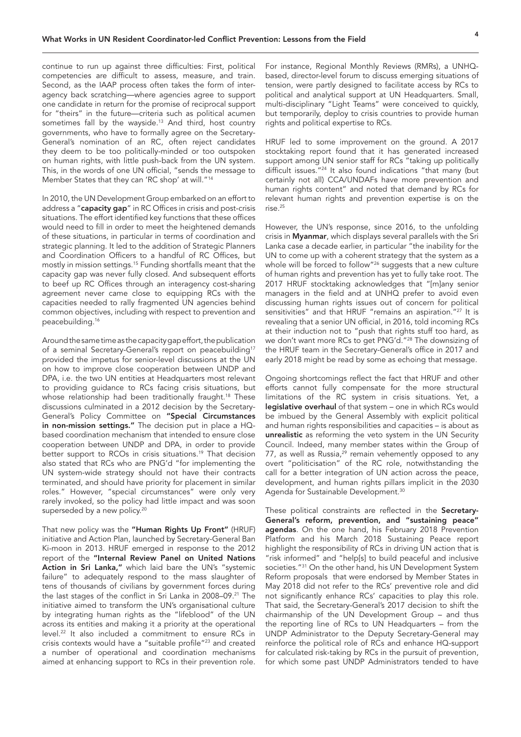<span id="page-3-0"></span>continue to run up against three difficulties: First, political competencies are difficult to assess, measure, and train. Second, as the IAAP process often takes the form of interagency back scratching—where agencies agree to support one candidate in return for the promise of reciprocal support for "theirs" in the future—criteria such as political acumen sometimes fall by the wayside.[13](#page-13-0) And third, host country governments, who have to formally agree on the Secretary-General's nomination of an RC, often reject candidates they deem to be too politically-minded or too outspoken on human rights, with little push-back from the UN system. This, in the words of one UN official, "sends the message to Member States that they can 'RC shop' at will."[14](#page-13-0)

In 2010, the UN Development Group embarked on an effort to address a "capacity gap" in RC Offices in crisis and post-crisis situations. The effort identified key functions that these offices would need to fill in order to meet the heightened demands of these situations, in particular in terms of coordination and strategic planning. It led to the addition of Strategic Planners and Coordination Officers to a handful of RC Offices, but mostly in mission settings[.15](#page-13-0) Funding shortfalls meant that the capacity gap was never fully closed. And subsequent efforts to beef up RC Offices through an interagency cost-sharing agreement never came close to equipping RCs with the capacities needed to rally fragmented UN agencies behind common objectives, including with respect to prevention and peacebuilding[.16](#page-13-0)

Around the same time as the capacity gap effort, the publication of a seminal Secretary-General's report on peacebuilding<sup>17</sup> provided the impetus for senior-level discussions at the UN on how to improve close cooperation between UNDP and DPA, i.e. the two UN entities at Headquarters most relevant to providing guidance to RCs facing crisis situations, but whose relationship had been traditionally fraught.<sup>[18](#page-13-0)</sup> These discussions culminated in a 2012 decision by the Secretary-General's Policy Committee on "Special Circumstances in non-mission settings." The decision put in place a HQbased coordination mechanism that intended to ensure close cooperation between UNDP and DPA, in order to provide better support to RCOs in crisis situations.<sup>19</sup> That decision also stated that RCs who are PNG'd "for implementing the UN system-wide strategy should not have their contracts terminated, and should have priority for placement in similar roles." However, "special circumstances" were only very rarely invoked, so the policy had little impact and was soon superseded by a new policy.<sup>[20](#page-13-0)</sup>

That new policy was the "Human Rights Up Front" (HRUF) initiative and Action Plan, launched by Secretary-General Ban Ki-moon in 2013. HRUF emerged in response to the 2012 report of the "Internal Review Panel on United Nations Action in Sri Lanka," which laid bare the UN's "systemic failure" to adequately respond to the mass slaughter of tens of thousands of civilians by government forces during the last stages of the conflict in Sri Lanka in 2008–09.<sup>21</sup> The initiative aimed to transform the UN's organisational culture by integrating human rights as the "lifeblood" of the UN across its entities and making it a priority at the operational level[.22](#page-13-0) It also included a commitment to ensure RCs in crisis contexts would have a "suitable profile["23](#page-13-0) and created a number of operational and coordination mechanisms aimed at enhancing support to RCs in their prevention role.

For instance, Regional Monthly Reviews (RMRs), a UNHQbased, director-level forum to discuss emerging situations of tension, were partly designed to facilitate access by RCs to political and analytical support at UN Headquarters. Small, multi-disciplinary "Light Teams" were conceived to quickly, but temporarily, deploy to crisis countries to provide human rights and political expertise to RCs.

HRUF led to some improvement on the ground. A 2017 stocktaking report found that it has generated increased support among UN senior staff for RCs "taking up politically difficult issues."[24](#page-13-0) It also found indications "that many (but certainly not all) CCA/UNDAFs have more prevention and human rights content" and noted that demand by RCs for relevant human rights and prevention expertise is on the rise.[25](#page-13-0)

However, the UN's response, since 2016, to the unfolding crisis in Myanmar, which displays several parallels with the Sri Lanka case a decade earlier, in particular "the inability for the UN to come up with a coherent strategy that the system as a whole will be forced to follow"<sup>[26](#page-13-0)</sup> suggests that a new culture of human rights and prevention has yet to fully take root. The 2017 HRUF stocktaking acknowledges that "[m]any senior managers in the field and at UNHQ prefer to avoid even discussing human rights issues out of concern for political sensitivities" and that HRUF "remains an aspiration.<sup>["27](#page-13-0)</sup> It is revealing that a senior UN official, in 2016, told incoming RCs at their induction not to "push that rights stuff too hard, as we don't want more RCs to get PNG'd.["28](#page-13-0) The downsizing of the HRUF team in the Secretary-General's office in 2017 and early 2018 might be read by some as echoing that message.

Ongoing shortcomings reflect the fact that HRUF and other efforts cannot fully compensate for the more structural limitations of the RC system in crisis situations. Yet, a legislative overhaul of that system – one in which RCs would be imbued by the General Assembly with explicit political and human rights responsibilities and capacities – is about as unrealistic as reforming the veto system in the UN Security Council. Indeed, many member states within the Group of 77, as well as Russia, $29$  remain vehemently opposed to any overt "politicisation" of the RC role, notwithstanding the call for a better integration of UN action across the peace, development, and human rights pillars implicit in the 2030 Agenda for Sustainable Development.<sup>[30](#page-14-0)</sup>

These political constraints are reflected in the Secretary-General's reform, prevention, and "sustaining peace" agendas. On the one hand, his February 2018 Prevention Platform and his March 2018 Sustaining Peace report highlight the responsibility of RCs in driving UN action that is "risk informed" and "help[s] to build peaceful and inclusive societies."<sup>31</sup> On the other hand, his UN Development System Reform proposals that were endorsed by Member States in May 2018 did not refer to the RCs' preventive role and did not significantly enhance RCs' capacities to play this role. That said, the Secretary-General's 2017 decision to shift the chairmanship of the UN Development Group – and thus the reporting line of RCs to UN Headquarters – from the UNDP Administrator to the Deputy Secretary-General may reinforce the political role of RCs and enhance HQ-support for calculated risk-taking by RCs in the pursuit of prevention, for which some past UNDP Administrators tended to have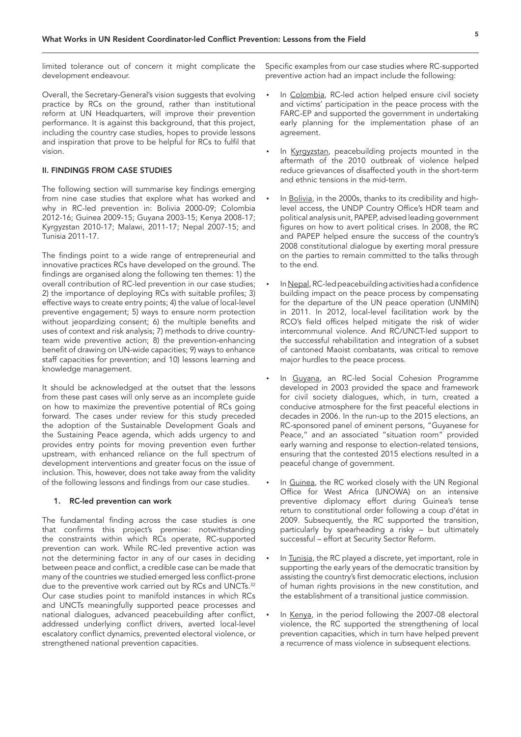<span id="page-4-0"></span>limited tolerance out of concern it might complicate the development endeavour.

Overall, the Secretary-General's vision suggests that evolving practice by RCs on the ground, rather than institutional reform at UN Headquarters, will improve their prevention performance. It is against this background, that this project, including the country case studies, hopes to provide lessons and inspiration that prove to be helpful for RCs to fulfil that vision.

# II. FINDINGS FROM CASE STUDIES

The following section will summarise key findings emerging from nine case studies that explore what has worked and why in RC-led prevention in: Bolivia 2000-09; Colombia 2012-16; Guinea 2009-15; Guyana 2003-15; Kenya 2008-17; Kyrgyzstan 2010-17; Malawi, 2011-17; Nepal 2007-15; and Tunisia 2011-17.

The findings point to a wide range of entrepreneurial and innovative practices RCs have developed on the ground. The findings are organised along the following ten themes: 1) the overall contribution of RC-led prevention in our case studies; 2) the importance of deploying RCs with suitable profiles; 3) effective ways to create entry points; 4) the value of local-level preventive engagement; 5) ways to ensure norm protection without jeopardizing consent; 6) the multiple benefits and uses of context and risk analysis; 7) methods to drive countryteam wide preventive action; 8) the prevention-enhancing benefit of drawing on UN-wide capacities; 9) ways to enhance staff capacities for prevention; and 10) lessons learning and knowledge management.

It should be acknowledged at the outset that the lessons from these past cases will only serve as an incomplete guide on how to maximize the preventive potential of RCs going forward. The cases under review for this study preceded the adoption of the Sustainable Development Goals and the Sustaining Peace agenda, which adds urgency to and provides entry points for moving prevention even further upstream, with enhanced reliance on the full spectrum of development interventions and greater focus on the issue of inclusion. This, however, does not take away from the validity of the following lessons and findings from our case studies.

#### 1. RC-led prevention can work

The fundamental finding across the case studies is one that confirms this project's premise: notwithstanding the constraints within which RCs operate, RC-supported prevention can work. While RC-led preventive action was not the determining factor in any of our cases in deciding between peace and conflict, a credible case can be made that many of the countries we studied emerged less conflict-prone due to the preventive work carried out by RCs and UNCTs.<sup>32</sup> Our case studies point to manifold instances in which RCs and UNCTs meaningfully supported peace processes and national dialogues, advanced peacebuilding after conflict, addressed underlying conflict drivers, averted local-level escalatory conflict dynamics, prevented electoral violence, or strengthened national prevention capacities.

Specific examples from our case studies where RC-supported preventive action had an impact include the following:

- In Colombia, RC-led action helped ensure civil society and victims' participation in the peace process with the FARC-EP and supported the government in undertaking early planning for the implementation phase of an agreement.
- In Kyrgyzstan, peacebuilding projects mounted in the aftermath of the 2010 outbreak of violence helped reduce grievances of disaffected youth in the short-term and ethnic tensions in the mid-term.
- In Bolivia, in the 2000s, thanks to its credibility and highlevel access, the UNDP Country Office's HDR team and political analysis unit, PAPEP, advised leading government figures on how to avert political crises. In 2008, the RC and PAPEP helped ensure the success of the country's 2008 constitutional dialogue by exerting moral pressure on the parties to remain committed to the talks through to the end.
- In Nepal, RC-led peacebuilding activities had a confidence building impact on the peace process by compensating for the departure of the UN peace operation (UNMIN) in 2011. In 2012, local-level facilitation work by the RCO's field offices helped mitigate the risk of wider intercommunal violence. And RC/UNCT-led support to the successful rehabilitation and integration of a subset of cantoned Maoist combatants, was critical to remove major hurdles to the peace process.
- In Guyana, an RC-led Social Cohesion Programme developed in 2003 provided the space and framework for civil society dialogues, which, in turn, created a conducive atmosphere for the first peaceful elections in decades in 2006. In the run-up to the 2015 elections, an RC-sponsored panel of eminent persons, "Guyanese for Peace," and an associated "situation room" provided early warning and response to election-related tensions, ensuring that the contested 2015 elections resulted in a peaceful change of government.
- In Guinea, the RC worked closely with the UN Regional Office for West Africa (UNOWA) on an intensive preventive diplomacy effort during Guinea's tense return to constitutional order following a coup d'état in 2009. Subsequently, the RC supported the transition, particularly by spearheading a risky – but ultimately successful – effort at Security Sector Reform.
- In Tunisia, the RC played a discrete, yet important, role in supporting the early years of the democratic transition by assisting the country's first democratic elections, inclusion of human rights provisions in the new constitution, and the establishment of a transitional justice commission.
- In Kenya, in the period following the 2007-08 electoral violence, the RC supported the strengthening of local prevention capacities, which in turn have helped prevent a recurrence of mass violence in subsequent elections.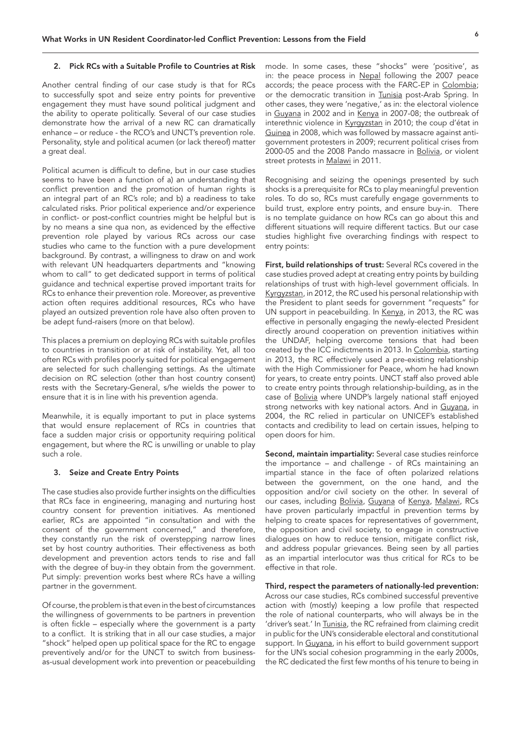#### 2. Pick RCs with a Suitable Profile to Countries at Risk

Another central finding of our case study is that for RCs to successfully spot and seize entry points for preventive engagement they must have sound political judgment and the ability to operate politically. Several of our case studies demonstrate how the arrival of a new RC can dramatically enhance – or reduce - the RCO's and UNCT's prevention role. Personality, style and political acumen (or lack thereof) matter a great deal.

Political acumen is difficult to define, but in our case studies seems to have been a function of a) an understanding that conflict prevention and the promotion of human rights is an integral part of an RC's role; and b) a readiness to take calculated risks. Prior political experience and/or experience in conflict- or post-conflict countries might be helpful but is by no means a sine qua non, as evidenced by the effective prevention role played by various RCs across our case studies who came to the function with a pure development background. By contrast, a willingness to draw on and work with relevant UN headquarters departments and "knowing whom to call" to get dedicated support in terms of political guidance and technical expertise proved important traits for RCs to enhance their prevention role. Moreover, as preventive action often requires additional resources, RCs who have played an outsized prevention role have also often proven to be adept fund-raisers (more on that below).

This places a premium on deploying RCs with suitable profiles to countries in transition or at risk of instability. Yet, all too often RCs with profiles poorly suited for political engagement are selected for such challenging settings. As the ultimate decision on RC selection (other than host country consent) rests with the Secretary-General, s/he wields the power to ensure that it is in line with his prevention agenda.

Meanwhile, it is equally important to put in place systems that would ensure replacement of RCs in countries that face a sudden major crisis or opportunity requiring political engagement, but where the RC is unwilling or unable to play such a role.

#### 3. Seize and Create Entry Points

The case studies also provide further insights on the difficulties that RCs face in engineering, managing and nurturing host country consent for prevention initiatives. As mentioned earlier, RCs are appointed "in consultation and with the consent of the government concerned," and therefore, they constantly run the risk of overstepping narrow lines set by host country authorities. Their effectiveness as both development and prevention actors tends to rise and fall with the degree of buy-in they obtain from the government. Put simply: prevention works best where RCs have a willing partner in the government.

Of course, the problem is that even in the best of circumstances the willingness of governments to be partners in prevention is often fickle – especially where the government is a party to a conflict. It is striking that in all our case studies, a major "shock" helped open up political space for the RC to engage preventively and/or for the UNCT to switch from businessas-usual development work into prevention or peacebuilding

mode. In some cases, these "shocks" were 'positive', as in: the peace process in Nepal following the 2007 peace accords; the peace process with the FARC-EP in Colombia; or the democratic transition in Tunisia post-Arab Spring. In other cases, they were 'negative,' as in: the electoral violence in Guyana in 2002 and in Kenya in 2007-08; the outbreak of interethnic violence in Kyrgyzstan in 2010; the coup d'état in Guinea in 2008, which was followed by massacre against antigovernment protesters in 2009; recurrent political crises from 2000-05 and the 2008 Pando massacre in Bolivia, or violent street protests in Malawi in 2011.

Recognising and seizing the openings presented by such shocks is a prerequisite for RCs to play meaningful prevention roles. To do so, RCs must carefully engage governments to build trust, explore entry points, and ensure buy-in. There is no template guidance on how RCs can go about this and different situations will require different tactics. But our case studies highlight five overarching findings with respect to entry points:

First, build relationships of trust: Several RCs covered in the case studies proved adept at creating entry points by building relationships of trust with high-level government officials. In Kyrgyzstan, in 2012, the RC used his personal relationship with the President to plant seeds for government "requests" for UN support in peacebuilding. In Kenya, in 2013, the RC was effective in personally engaging the newly-elected President directly around cooperation on prevention initiatives within the UNDAF, helping overcome tensions that had been created by the ICC indictments in 2013. In Colombia, starting in 2013, the RC effectively used a pre-existing relationship with the High Commissioner for Peace, whom he had known for years, to create entry points. UNCT staff also proved able to create entry points through relationship-building, as in the case of Bolivia where UNDP's largely national staff enjoyed strong networks with key national actors. And in Guyana, in 2004, the RC relied in particular on UNICEF's established contacts and credibility to lead on certain issues, helping to open doors for him.

Second, maintain impartiality: Several case studies reinforce the importance – and challenge - of RCs maintaining an impartial stance in the face of often polarized relations between the government, on the one hand, and the opposition and/or civil society on the other. In several of our cases, including Bolivia, Guyana of Kenya, Malawi, RCs have proven particularly impactful in prevention terms by helping to create spaces for representatives of government, the opposition and civil society, to engage in constructive dialogues on how to reduce tension, mitigate conflict risk, and address popular grievances. Being seen by all parties as an impartial interlocutor was thus critical for RCs to be effective in that role.

Third, respect the parameters of nationally-led prevention: Across our case studies, RCs combined successful preventive action with (mostly) keeping a low profile that respected the role of national counterparts, who will always be in the 'driver's seat.' In Tunisia, the RC refrained from claiming credit in public for the UN's considerable electoral and constitutional support. In Guyana, in his effort to build government support for the UN's social cohesion programming in the early 2000s, the RC dedicated the first few months of his tenure to being in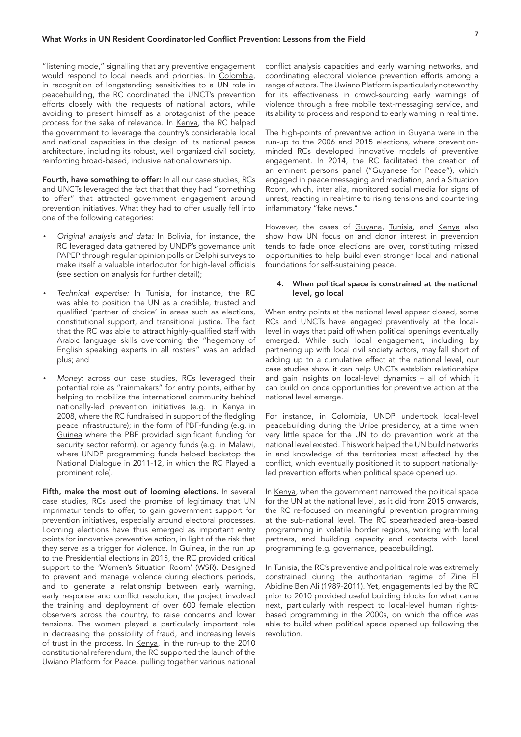"listening mode," signalling that any preventive engagement would respond to local needs and priorities. In Colombia, in recognition of longstanding sensitivities to a UN role in peacebuilding, the RC coordinated the UNCT's prevention efforts closely with the requests of national actors, while avoiding to present himself as a protagonist of the peace process for the sake of relevance. In Kenya, the RC helped the government to leverage the country's considerable local and national capacities in the design of its national peace architecture, including its robust, well organized civil society, reinforcing broad-based, inclusive national ownership.

Fourth, have something to offer: In all our case studies, RCs and UNCTs leveraged the fact that that they had "something to offer" that attracted government engagement around prevention initiatives. What they had to offer usually fell into one of the following categories:

- *Original analysis and data:* In Bolivia, for instance, the RC leveraged data gathered by UNDP's governance unit PAPEP through regular opinion polls or Delphi surveys to make itself a valuable interlocutor for high-level officials (see section on analysis for further detail);
- *Technical expertise:* In Tunisia, for instance, the RC was able to position the UN as a credible, trusted and qualified 'partner of choice' in areas such as elections, constitutional support, and transitional justice. The fact that the RC was able to attract highly-qualified staff with Arabic language skills overcoming the "hegemony of English speaking experts in all rosters" was an added plus; and
- *Money:* across our case studies, RCs leveraged their potential role as "rainmakers" for entry points, either by helping to mobilize the international community behind nationally-led prevention initiatives (e.g. in Kenya in 2008, where the RC fundraised in support of the fledgling peace infrastructure); in the form of PBF-funding (e.g. in Guinea where the PBF provided significant funding for security sector reform), or agency funds (e.g. in Malawi, where UNDP programming funds helped backstop the National Dialogue in 2011-12, in which the RC Played a prominent role).

Fifth, make the most out of looming elections. In several case studies, RCs used the promise of legitimacy that UN imprimatur tends to offer, to gain government support for prevention initiatives, especially around electoral processes. Looming elections have thus emerged as important entry points for innovative preventive action, in light of the risk that they serve as a trigger for violence. In Guinea, in the run up to the Presidential elections in 2015, the RC provided critical support to the 'Women's Situation Room' (WSR). Designed to prevent and manage violence during elections periods, and to generate a relationship between early warning, early response and conflict resolution, the project involved the training and deployment of over 600 female election observers across the country, to raise concerns and lower tensions. The women played a particularly important role in decreasing the possibility of fraud, and increasing levels of trust in the process. In Kenya, in the run-up to the 2010 constitutional referendum, the RC supported the launch of the Uwiano Platform for Peace, pulling together various national

conflict analysis capacities and early warning networks, and coordinating electoral violence prevention efforts among a range of actors. The Uwiano Platform is particularly noteworthy for its effectiveness in crowd-sourcing early warnings of violence through a free mobile text-messaging service, and its ability to process and respond to early warning in real time.

The high-points of preventive action in Guyana were in the run-up to the 2006 and 2015 elections, where preventionminded RCs developed innovative models of preventive engagement. In 2014, the RC facilitated the creation of an eminent persons panel ("Guyanese for Peace"), which engaged in peace messaging and mediation, and a Situation Room, which, inter alia, monitored social media for signs of unrest, reacting in real-time to rising tensions and countering inflammatory "fake news."

However, the cases of Guyana, Tunisia, and Kenya also show how UN focus on and donor interest in prevention tends to fade once elections are over, constituting missed opportunities to help build even stronger local and national foundations for self-sustaining peace.

### 4. When political space is constrained at the national level, go local

When entry points at the national level appear closed, some RCs and UNCTs have engaged preventively at the locallevel in ways that paid off when political openings eventually emerged. While such local engagement, including by partnering up with local civil society actors, may fall short of adding up to a cumulative effect at the national level, our case studies show it can help UNCTs establish relationships and gain insights on local-level dynamics – all of which it can build on once opportunities for preventive action at the national level emerge.

For instance, in Colombia, UNDP undertook local-level peacebuilding during the Uribe presidency, at a time when very little space for the UN to do prevention work at the national level existed. This work helped the UN build networks in and knowledge of the territories most affected by the conflict, which eventually positioned it to support nationallyled prevention efforts when political space opened up.

In Kenya, when the government narrowed the political space for the UN at the national level, as it did from 2015 onwards, the RC re-focused on meaningful prevention programming at the sub-national level. The RC spearheaded area-based programming in volatile border regions, working with local partners, and building capacity and contacts with local programming (e.g. governance, peacebuilding).

In Tunisia, the RC's preventive and political role was extremely constrained during the authoritarian regime of Zine El Abidine Ben Ali (1989-2011). Yet, engagements led by the RC prior to 2010 provided useful building blocks for what came next, particularly with respect to local-level human rightsbased programming in the 2000s, on which the office was able to build when political space opened up following the revolution.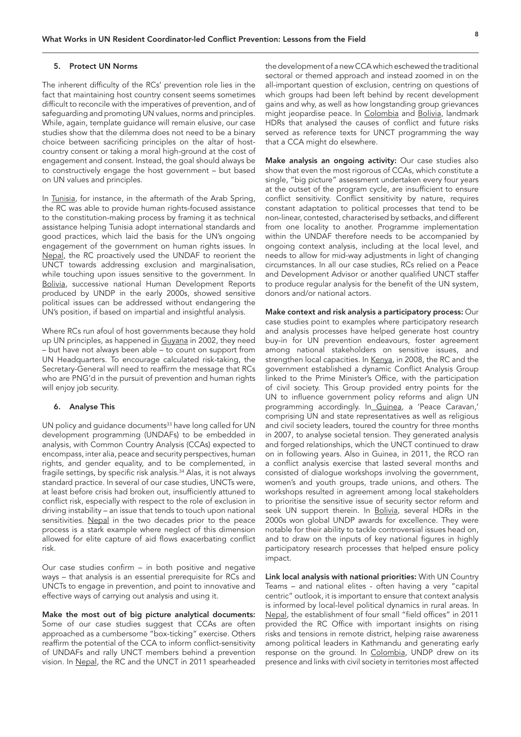#### <span id="page-7-0"></span>5. Protect UN Norms

The inherent difficulty of the RCs' prevention role lies in the fact that maintaining host country consent seems sometimes difficult to reconcile with the imperatives of prevention, and of safeguarding and promoting UN values, norms and principles. While, again, template guidance will remain elusive, our case studies show that the dilemma does not need to be a binary choice between sacrificing principles on the altar of hostcountry consent or taking a moral high-ground at the cost of engagement and consent. Instead, the goal should always be to constructively engage the host government – but based on UN values and principles.

In Tunisia, for instance, in the aftermath of the Arab Spring, the RC was able to provide human rights-focused assistance to the constitution-making process by framing it as technical assistance helping Tunisia adopt international standards and good practices, which laid the basis for the UN's ongoing engagement of the government on human rights issues. In Nepal, the RC proactively used the UNDAF to reorient the UNCT towards addressing exclusion and marginalisation, while touching upon issues sensitive to the government. In Bolivia, successive national Human Development Reports produced by UNDP in the early 2000s, showed sensitive political issues can be addressed without endangering the UN's position, if based on impartial and insightful analysis.

Where RCs run afoul of host governments because they hold up UN principles, as happened in Guyana in 2002, they need – but have not always been able – to count on support from UN Headquarters. To encourage calculated risk-taking, the Secretary-General will need to reaffirm the message that RCs who are PNG'd in the pursuit of prevention and human rights will enjoy job security.

### 6. Analyse This

UN policy and guidance documents<sup>[33](#page-14-0)</sup> have long called for UN development programming (UNDAFs) to be embedded in analysis, with Common Country Analysis (CCAs) expected to encompass, inter alia, peace and security perspectives, human rights, and gender equality, and to be complemented, in fragile settings, by specific risk analysis.[34](#page-14-0) Alas, it is not always standard practice. In several of our case studies, UNCTs were, at least before crisis had broken out, insufficiently attuned to conflict risk, especially with respect to the role of exclusion in driving instability – an issue that tends to touch upon national sensitivities. Nepal in the two decades prior to the peace process is a stark example where neglect of this dimension allowed for elite capture of aid flows exacerbating conflict risk.

Our case studies confirm – in both positive and negative ways – that analysis is an essential prerequisite for RCs and UNCTs to engage in prevention, and point to innovative and effective ways of carrying out analysis and using it.

Make the most out of big picture analytical documents: Some of our case studies suggest that CCAs are often approached as a cumbersome "box-ticking" exercise. Others reaffirm the potential of the CCA to inform conflict-sensitivity of UNDAFs and rally UNCT members behind a prevention vision. In Nepal, the RC and the UNCT in 2011 spearheaded

the development of a new CCA which eschewed the traditional sectoral or themed approach and instead zoomed in on the all-important question of exclusion, centring on questions of which groups had been left behind by recent development gains and why, as well as how longstanding group grievances might jeopardise peace. In Colombia and Bolivia, landmark HDRs that analysed the causes of conflict and future risks served as reference texts for UNCT programming the way that a CCA might do elsewhere.

Make analysis an ongoing activity: Our case studies also show that even the most rigorous of CCAs, which constitute a single, "big picture" assessment undertaken every four years at the outset of the program cycle, are insufficient to ensure conflict sensitivity. Conflict sensitivity by nature, requires constant adaptation to political processes that tend to be non-linear, contested, characterised by setbacks, and different from one locality to another. Programme implementation within the UNDAF therefore needs to be accompanied by ongoing context analysis, including at the local level, and needs to allow for mid-way adjustments in light of changing circumstances. In all our case studies, RCs relied on a Peace and Development Advisor or another qualified UNCT staffer to produce regular analysis for the benefit of the UN system, donors and/or national actors.

Make context and risk analysis a participatory process: Our case studies point to examples where participatory research and analysis processes have helped generate host country buy-in for UN prevention endeavours, foster agreement among national stakeholders on sensitive issues, and strengthen local capacities. In Kenya, in 2008, the RC and the government established a dynamic Conflict Analysis Group linked to the Prime Minister's Office, with the participation of civil society. This Group provided entry points for the UN to influence government policy reforms and align UN programming accordingly. In Guinea, a 'Peace Caravan,' comprising UN and state representatives as well as religious and civil society leaders, toured the country for three months in 2007, to analyse societal tension. They generated analysis and forged relationships, which the UNCT continued to draw on in following years. Also in Guinea, in 2011, the RCO ran a conflict analysis exercise that lasted several months and consisted of dialogue workshops involving the government, women's and youth groups, trade unions, and others. The workshops resulted in agreement among local stakeholders to prioritise the sensitive issue of security sector reform and seek UN support therein. In Bolivia, several HDRs in the 2000s won global UNDP awards for excellence. They were notable for their ability to tackle controversial issues head on, and to draw on the inputs of key national figures in highly participatory research processes that helped ensure policy impact.

Link local analysis with national priorities: With UN Country Teams – and national elites - often having a very "capital centric" outlook, it is important to ensure that context analysis is informed by local-level political dynamics in rural areas. In Nepal, the establishment of four small "field offices" in 2011 provided the RC Office with important insights on rising risks and tensions in remote district, helping raise awareness among political leaders in Kathmandu and generating early response on the ground. In Colombia, UNDP drew on its presence and links with civil society in territories most affected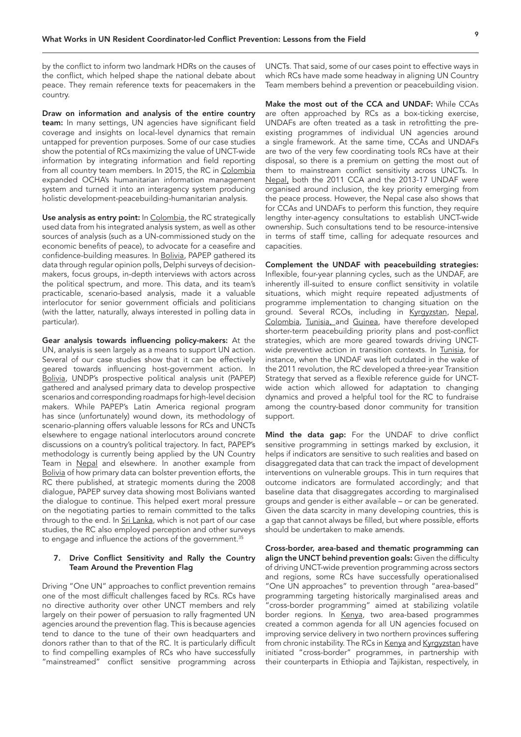<span id="page-8-0"></span>by the conflict to inform two landmark HDRs on the causes of the conflict, which helped shape the national debate about peace. They remain reference texts for peacemakers in the country.

Draw on information and analysis of the entire country team: In many settings, UN agencies have significant field coverage and insights on local-level dynamics that remain untapped for prevention purposes. Some of our case studies show the potential of RCs maximizing the value of UNCT-wide information by integrating information and field reporting from all country team members. In 2015, the RC in Colombia expanded OCHA's humanitarian information management system and turned it into an interagency system producing holistic development-peacebuilding-humanitarian analysis.

Use analysis as entry point: In Colombia, the RC strategically used data from his integrated analysis system, as well as other sources of analysis (such as a UN-commissioned study on the economic benefits of peace), to advocate for a ceasefire and confidence-building measures. In Bolivia, PAPEP gathered its data through regular opinion polls, Delphi surveys of decisionmakers, focus groups, in-depth interviews with actors across the political spectrum, and more. This data, and its team's practicable, scenario-based analysis, made it a valuable interlocutor for senior government officials and politicians (with the latter, naturally, always interested in polling data in particular).

Gear analysis towards influencing policy-makers: At the UN, analysis is seen largely as a means to support UN action. Several of our case studies show that it can be effectively geared towards influencing host-government action. In Bolivia, UNDP's prospective political analysis unit (PAPEP) gathered and analysed primary data to develop prospective scenarios and corresponding roadmaps for high-level decision makers. While PAPEP's Latin America regional program has since (unfortunately) wound down, its methodology of scenario-planning offers valuable lessons for RCs and UNCTs elsewhere to engage national interlocutors around concrete discussions on a country's political trajectory. In fact, PAPEP's methodology is currently being applied by the UN Country Team in Nepal and elsewhere. In another example from Bolivia of how primary data can bolster prevention efforts, the RC there published, at strategic moments during the 2008 dialogue, PAPEP survey data showing most Bolivians wanted the dialogue to continue. This helped exert moral pressure on the negotiating parties to remain committed to the talks through to the end. In Sri Lanka, which is not part of our case studies, the RC also employed perception and other surveys to engage and influence the actions of the government.<sup>[35](#page-14-0)</sup>

### 7. Drive Conflict Sensitivity and Rally the Country Team Around the Prevention Flag

Driving "One UN" approaches to conflict prevention remains one of the most difficult challenges faced by RCs. RCs have no directive authority over other UNCT members and rely largely on their power of persuasion to rally fragmented UN agencies around the prevention flag. This is because agencies tend to dance to the tune of their own headquarters and donors rather than to that of the RC. It is particularly difficult to find compelling examples of RCs who have successfully "mainstreamed" conflict sensitive programming across UNCTs. That said, some of our cases point to effective ways in which RCs have made some headway in aligning UN Country Team members behind a prevention or peacebuilding vision.

Make the most out of the CCA and UNDAF: While CCAs are often approached by RCs as a box-ticking exercise, UNDAFs are often treated as a task in retrofitting the preexisting programmes of individual UN agencies around a single framework. At the same time, CCAs and UNDAFs are two of the very few coordinating tools RCs have at their disposal, so there is a premium on getting the most out of them to mainstream conflict sensitivity across UNCTs. In Nepal, both the 2011 CCA and the 2013-17 UNDAF were organised around inclusion, the key priority emerging from the peace process. However, the Nepal case also shows that for CCAs and UNDAFs to perform this function, they require lengthy inter-agency consultations to establish UNCT-wide ownership. Such consultations tend to be resource-intensive in terms of staff time, calling for adequate resources and capacities.

Complement the UNDAF with peacebuilding strategies: Inflexible, four-year planning cycles, such as the UNDAF, are inherently ill-suited to ensure conflict sensitivity in volatile situations, which might require repeated adjustments of programme implementation to changing situation on the ground. Several RCOs, including in Kyrgyzstan, Nepal, Colombia, Tunisia, and Guinea, have therefore developed shorter-term peacebuilding priority plans and post-conflict strategies, which are more geared towards driving UNCTwide preventive action in transition contexts. In Tunisia, for instance, when the UNDAF was left outdated in the wake of the 2011 revolution, the RC developed a three-year Transition Strategy that served as a flexible reference guide for UNCTwide action which allowed for adaptation to changing dynamics and proved a helpful tool for the RC to fundraise among the country-based donor community for transition support.

Mind the data gap: For the UNDAF to drive conflict sensitive programming in settings marked by exclusion, it helps if indicators are sensitive to such realities and based on disaggregated data that can track the impact of development interventions on vulnerable groups. This in turn requires that outcome indicators are formulated accordingly; and that baseline data that disaggregates according to marginalised groups and gender is either available – or can be generated. Given the data scarcity in many developing countries, this is a gap that cannot always be filled, but where possible, efforts should be undertaken to make amends.

Cross-border, area-based and thematic programming can align the UNCT behind prevention goals: Given the difficulty of driving UNCT-wide prevention programming across sectors and regions, some RCs have successfully operationalised "One UN approaches" to prevention through "area-based" programming targeting historically marginalised areas and "cross-border programming" aimed at stabilizing volatile border regions. In Kenya, two area-based programmes created a common agenda for all UN agencies focused on improving service delivery in two northern provinces suffering from chronic instability. The RCs in Kenya and Kyrgyzstan have initiated "cross-border" programmes, in partnership with their counterparts in Ethiopia and Tajikistan, respectively, in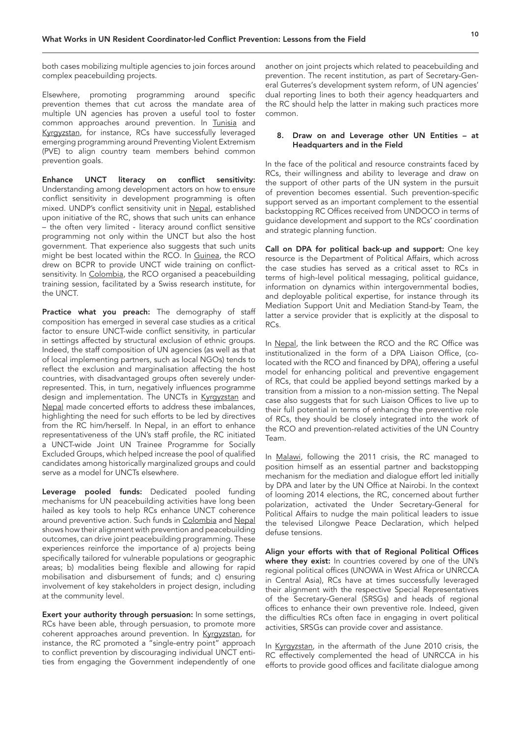both cases mobilizing multiple agencies to join forces around complex peacebuilding projects.

Elsewhere, promoting programming around specific prevention themes that cut across the mandate area of multiple UN agencies has proven a useful tool to foster common approaches around prevention. In Tunisia and Kyrgyzstan, for instance, RCs have successfully leveraged emerging programming around Preventing Violent Extremism (PVE) to align country team members behind common prevention goals.

Enhance UNCT literacy on conflict sensitivity: Understanding among development actors on how to ensure conflict sensitivity in development programming is often mixed. UNDP's conflict sensitivity unit in Nepal, established upon initiative of the RC, shows that such units can enhance – the often very limited - literacy around conflict sensitive programming not only within the UNCT but also the host government. That experience also suggests that such units might be best located within the RCO. In Guinea, the RCO drew on BCPR to provide UNCT wide training on conflictsensitivity. In Colombia, the RCO organised a peacebuilding training session, facilitated by a Swiss research institute, for the UNCT.

Practice what you preach: The demography of staff composition has emerged in several case studies as a critical factor to ensure UNCT-wide conflict sensitivity, in particular in settings affected by structural exclusion of ethnic groups. Indeed, the staff composition of UN agencies (as well as that of local implementing partners, such as local NGOs) tends to reflect the exclusion and marginalisation affecting the host countries, with disadvantaged groups often severely underrepresented. This, in turn, negatively influences programme design and implementation. The UNCTs in Kyrgyzstan and Nepal made concerted efforts to address these imbalances, highlighting the need for such efforts to be led by directives from the RC him/herself. In Nepal, in an effort to enhance representativeness of the UN's staff profile, the RC initiated a UNCT-wide Joint UN Trainee Programme for Socially Excluded Groups, which helped increase the pool of qualified candidates among historically marginalized groups and could serve as a model for UNCTs elsewhere.

Leverage pooled funds: Dedicated pooled funding mechanisms for UN peacebuilding activities have long been hailed as key tools to help RCs enhance UNCT coherence around preventive action. Such funds in Colombia and Nepal shows how their alignment with prevention and peacebuilding outcomes, can drive joint peacebuilding programming. These experiences reinforce the importance of a) projects being specifically tailored for vulnerable populations or geographic areas; b) modalities being flexible and allowing for rapid mobilisation and disbursement of funds; and c) ensuring involvement of key stakeholders in project design, including at the community level.

Exert your authority through persuasion: In some settings, RCs have been able, through persuasion, to promote more coherent approaches around prevention. In Kyrgyzstan, for instance, the RC promoted a "single-entry point" approach to conflict prevention by discouraging individual UNCT entities from engaging the Government independently of one

another on joint projects which related to peacebuilding and prevention. The recent institution, as part of Secretary-General Guterres's development system reform, of UN agencies' dual reporting lines to both their agency headquarters and the RC should help the latter in making such practices more common.

#### 8. Draw on and Leverage other UN Entities – at Headquarters and in the Field

In the face of the political and resource constraints faced by RCs, their willingness and ability to leverage and draw on the support of other parts of the UN system in the pursuit of prevention becomes essential. Such prevention-specific support served as an important complement to the essential backstopping RC Offices received from UNDOCO in terms of guidance development and support to the RCs' coordination and strategic planning function.

Call on DPA for political back-up and support: One key resource is the Department of Political Affairs, which across the case studies has served as a critical asset to RCs in terms of high-level political messaging, political guidance, information on dynamics within intergovernmental bodies, and deployable political expertise, for instance through its Mediation Support Unit and Mediation Stand-by Team, the latter a service provider that is explicitly at the disposal to RCs.

In Nepal, the link between the RCO and the RC Office was institutionalized in the form of a DPA Liaison Office, (colocated with the RCO and financed by DPA), offering a useful model for enhancing political and preventive engagement of RCs, that could be applied beyond settings marked by a transition from a mission to a non-mission setting. The Nepal case also suggests that for such Liaison Offices to live up to their full potential in terms of enhancing the preventive role of RCs, they should be closely integrated into the work of the RCO and prevention-related activities of the UN Country Team.

In Malawi, following the 2011 crisis, the RC managed to position himself as an essential partner and backstopping mechanism for the mediation and dialogue effort led initially by DPA and later by the UN Office at Nairobi. In the context of looming 2014 elections, the RC, concerned about further polarization, activated the Under Secretary-General for Political Affairs to nudge the main political leaders to issue the televised Lilongwe Peace Declaration, which helped defuse tensions.

Align your efforts with that of Regional Political Offices where they exist: In countries covered by one of the UN's regional political offices (UNOWA in West Africa or UNRCCA in Central Asia), RCs have at times successfully leveraged their alignment with the respective Special Representatives of the Secretary-General (SRSGs) and heads of regional offices to enhance their own preventive role. Indeed, given the difficulties RCs often face in engaging in overt political activities, SRSGs can provide cover and assistance.

In Kyrgyzstan, in the aftermath of the June 2010 crisis, the RC effectively complemented the head of UNRCCA in his efforts to provide good offices and facilitate dialogue among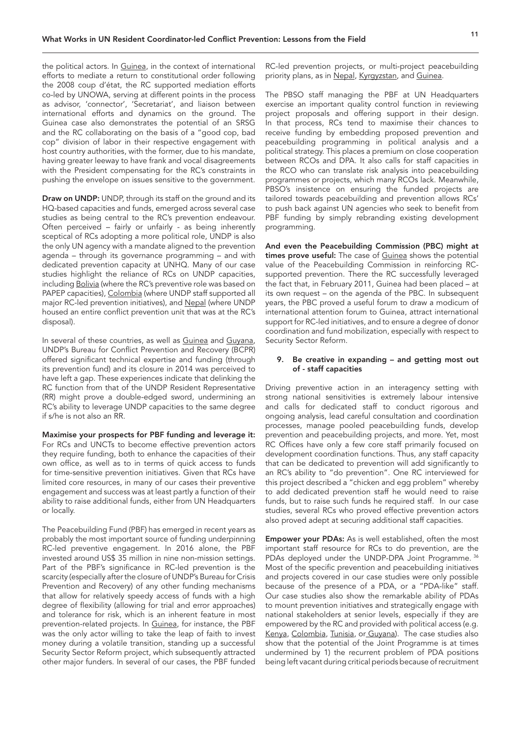<span id="page-10-0"></span>the political actors. In Guinea, in the context of international efforts to mediate a return to constitutional order following the 2008 coup d'état, the RC supported mediation efforts co-led by UNOWA, serving at different points in the process as advisor, 'connector', 'Secretariat', and liaison between international efforts and dynamics on the ground. The Guinea case also demonstrates the potential of an SRSG and the RC collaborating on the basis of a "good cop, bad cop" division of labor in their respective engagement with host country authorities, with the former, due to his mandate, having greater leeway to have frank and vocal disagreements with the President compensating for the RC's constraints in pushing the envelope on issues sensitive to the government.

Draw on UNDP: UNDP, through its staff on the ground and its HQ-based capacities and funds, emerged across several case studies as being central to the RC's prevention endeavour. Often perceived – fairly or unfairly - as being inherently sceptical of RCs adopting a more political role, UNDP is also the only UN agency with a mandate aligned to the prevention agenda – through its governance programming – and with dedicated prevention capacity at UNHQ. Many of our case studies highlight the reliance of RCs on UNDP capacities, including Bolivia (where the RC's preventive role was based on PAPEP capacities), Colombia (where UNDP staff supported all major RC-led prevention initiatives), and Nepal (where UNDP housed an entire conflict prevention unit that was at the RC's disposal).

In several of these countries, as well as Guinea and Guyana, UNDP's Bureau for Conflict Prevention and Recovery (BCPR) offered significant technical expertise and funding (through its prevention fund) and its closure in 2014 was perceived to have left a gap. These experiences indicate that delinking the RC function from that of the UNDP Resident Representative (RR) might prove a double-edged sword, undermining an RC's ability to leverage UNDP capacities to the same degree if s/he is not also an RR.

Maximise your prospects for PBF funding and leverage it: For RCs and UNCTs to become effective prevention actors they require funding, both to enhance the capacities of their own office, as well as to in terms of quick access to funds for time-sensitive prevention initiatives. Given that RCs have limited core resources, in many of our cases their preventive engagement and success was at least partly a function of their ability to raise additional funds, either from UN Headquarters or locally.

The Peacebuilding Fund (PBF) has emerged in recent years as probably the most important source of funding underpinning RC-led preventive engagement. In 2016 alone, the PBF invested around US\$ 35 million in nine non-mission settings. Part of the PBF's significance in RC-led prevention is the scarcity (especially after the closure of UNDP's Bureau for Crisis Prevention and Recovery) of any other funding mechanisms that allow for relatively speedy access of funds with a high degree of flexibility (allowing for trial and error approaches) and tolerance for risk, which is an inherent feature in most prevention-related projects. In Guinea, for instance, the PBF was the only actor willing to take the leap of faith to invest money during a volatile transition, standing up a successful Security Sector Reform project, which subsequently attracted other major funders. In several of our cases, the PBF funded

RC-led prevention projects, or multi-project peacebuilding priority plans, as in Nepal, Kyrgyzstan, and Guinea.

The PBSO staff managing the PBF at UN Headquarters exercise an important quality control function in reviewing project proposals and offering support in their design. In that process, RCs tend to maximise their chances to receive funding by embedding proposed prevention and peacebuilding programming in political analysis and a political strategy. This places a premium on close cooperation between RCOs and DPA. It also calls for staff capacities in the RCO who can translate risk analysis into peacebuilding programmes or projects, which many RCOs lack. Meanwhile, PBSO's insistence on ensuring the funded projects are tailored towards peacebuilding and prevention allows RCs' to push back against UN agencies who seek to benefit from PBF funding by simply rebranding existing development programming.

And even the Peacebuilding Commission (PBC) might at times prove useful: The case of Guinea shows the potential value of the Peacebuilding Commission in reinforcing RCsupported prevention. There the RC successfully leveraged the fact that, in February 2011, Guinea had been placed – at its own request – on the agenda of the PBC. In subsequent years, the PBC proved a useful forum to draw a modicum of international attention forum to Guinea, attract international support for RC-led initiatives, and to ensure a degree of donor coordination and fund mobilization, especially with respect to Security Sector Reform.

#### 9. Be creative in expanding – and getting most out of - staff capacities

Driving preventive action in an interagency setting with strong national sensitivities is extremely labour intensive and calls for dedicated staff to conduct rigorous and ongoing analysis, lead careful consultation and coordination processes, manage pooled peacebuilding funds, develop prevention and peacebuilding projects, and more. Yet, most RC Offices have only a few core staff primarily focused on development coordination functions. Thus, any staff capacity that can be dedicated to prevention will add significantly to an RC's ability to "do prevention". One RC interviewed for this project described a "chicken and egg problem" whereby to add dedicated prevention staff he would need to raise funds, but to raise such funds he required staff. In our case studies, several RCs who proved effective prevention actors also proved adept at securing additional staff capacities.

Empower your PDAs: As is well established, often the most important staff resource for RCs to do prevention, are the PDAs deployed under the UNDP-DPA Joint Programme. [36](#page-14-0) Most of the specific prevention and peacebuilding initiatives and projects covered in our case studies were only possible because of the presence of a PDA, or a "PDA-like" staff. Our case studies also show the remarkable ability of PDAs to mount prevention initiatives and strategically engage with national stakeholders at senior levels, especially if they are empowered by the RC and provided with political access (e.g. Kenya, Colombia, Tunisia, or Guyana). The case studies also show that the potential of the Joint Programme is at times undermined by 1) the recurrent problem of PDA positions being left vacant during critical periods because of recruitment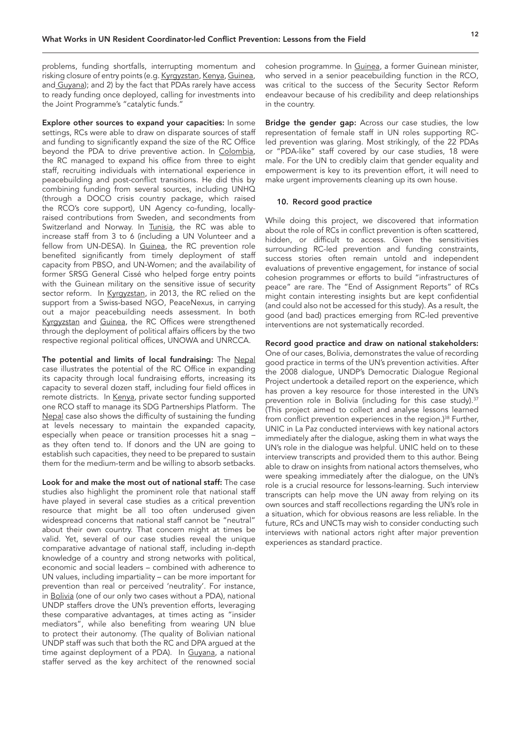<span id="page-11-0"></span>problems, funding shortfalls, interrupting momentum and risking closure of entry points (e.g. Kyrgyzstan, Kenya, Guinea, and Guyana); and 2) by the fact that PDAs rarely have access to ready funding once deployed, calling for investments into the Joint Programme's "catalytic funds."

Explore other sources to expand your capacities: In some settings, RCs were able to draw on disparate sources of staff and funding to significantly expand the size of the RC Office beyond the PDA to drive preventive action. In Colombia, the RC managed to expand his office from three to eight staff, recruiting individuals with international experience in peacebuilding and post-conflict transitions. He did this by combining funding from several sources, including UNHQ (through a DOCO crisis country package, which raised the RCO's core support), UN Agency co-funding, locallyraised contributions from Sweden, and secondments from Switzerland and Norway. In Tunisia, the RC was able to increase staff from 3 to 6 (including a UN Volunteer and a fellow from UN-DESA). In Guinea, the RC prevention role benefited significantly from timely deployment of staff capacity from PBSO, and UN-Women; and the availability of former SRSG General Cissé who helped forge entry points with the Guinean military on the sensitive issue of security sector reform. In Kyrgyzstan, in 2013, the RC relied on the support from a Swiss-based NGO, PeaceNexus, in carrying out a major peacebuilding needs assessment. In both Kyrgyzstan and Guinea, the RC Offices were strengthened through the deployment of political affairs officers by the two respective regional political offices, UNOWA and UNRCCA.

The potential and limits of local fundraising: The Nepal case illustrates the potential of the RC Office in expanding its capacity through local fundraising efforts, increasing its capacity to several dozen staff, including four field offices in remote districts. In Kenya, private sector funding supported one RCO staff to manage its SDG Partnerships Platform. The Nepal case also shows the difficulty of sustaining the funding at levels necessary to maintain the expanded capacity, especially when peace or transition processes hit a snag – as they often tend to. If donors and the UN are going to establish such capacities, they need to be prepared to sustain them for the medium-term and be willing to absorb setbacks.

Look for and make the most out of national staff: The case studies also highlight the prominent role that national staff have played in several case studies as a critical prevention resource that might be all too often underused given widespread concerns that national staff cannot be "neutral" about their own country. That concern might at times be valid. Yet, several of our case studies reveal the unique comparative advantage of national staff, including in-depth knowledge of a country and strong networks with political, economic and social leaders – combined with adherence to UN values, including impartiality – can be more important for prevention than real or perceived 'neutrality'. For instance, in Bolivia (one of our only two cases without a PDA), national UNDP staffers drove the UN's prevention efforts, leveraging these comparative advantages, at times acting as "insider mediators", while also benefiting from wearing UN blue to protect their autonomy. (The quality of Bolivian national UNDP staff was such that both the RC and DPA argued at the time against deployment of a PDA). In Guyana, a national staffer served as the key architect of the renowned social cohesion programme. In Guinea, a former Guinean minister, who served in a senior peacebuilding function in the RCO, was critical to the success of the Security Sector Reform endeavour because of his credibility and deep relationships in the country.

Bridge the gender gap: Across our case studies, the low representation of female staff in UN roles supporting RCled prevention was glaring. Most strikingly, of the 22 PDAs or "PDA-like" staff covered by our case studies, 18 were male. For the UN to credibly claim that gender equality and empowerment is key to its prevention effort, it will need to make urgent improvements cleaning up its own house.

#### 10. Record good practice

While doing this project, we discovered that information about the role of RCs in conflict prevention is often scattered, hidden, or difficult to access. Given the sensitivities surrounding RC-led prevention and funding constraints, success stories often remain untold and independent evaluations of preventive engagement, for instance of social cohesion programmes or efforts to build "infrastructures of peace" are rare. The "End of Assignment Reports" of RCs might contain interesting insights but are kept confidential (and could also not be accessed for this study). As a result, the good (and bad) practices emerging from RC-led preventive interventions are not systematically recorded.

# Record good practice and draw on national stakeholders:

One of our cases, Bolivia, demonstrates the value of recording good practice in terms of the UN's prevention activities. After the 2008 dialogue, UNDP's Democratic Dialogue Regional Project undertook a detailed report on the experience, which has proven a key resource for those interested in the UN's prevention role in Bolivia (including for this case study).<sup>37</sup> (This project aimed to collect and analyse lessons learned from conflict prevention experiences in the region.)<sup>38</sup> Further, UNIC in La Paz conducted interviews with key national actors immediately after the dialogue, asking them in what ways the UN's role in the dialogue was helpful. UNIC held on to these interview transcripts and provided them to this author. Being able to draw on insights from national actors themselves, who were speaking immediately after the dialogue, on the UN's role is a crucial resource for lessons-learning. Such interview transcripts can help move the UN away from relying on its own sources and staff recollections regarding the UN's role in a situation, which for obvious reasons are less reliable. In the future, RCs and UNCTs may wish to consider conducting such interviews with national actors right after major prevention experiences as standard practice.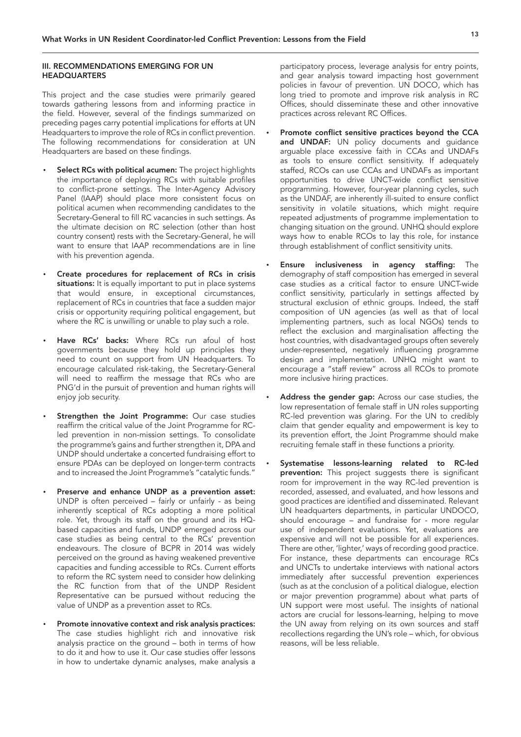#### III. RECOMMENDATIONS EMERGING FOR UN **HEADQUARTERS**

This project and the case studies were primarily geared towards gathering lessons from and informing practice in the field. However, several of the findings summarized on preceding pages carry potential implications for efforts at UN Headquarters to improve the role of RCs in conflict prevention. The following recommendations for consideration at UN Headquarters are based on these findings.

- Select RCs with political acumen: The project highlights the importance of deploying RCs with suitable profiles to conflict-prone settings. The Inter-Agency Advisory Panel (IAAP) should place more consistent focus on political acumen when recommending candidates to the Secretary-General to fill RC vacancies in such settings. As the ultimate decision on RC selection (other than host country consent) rests with the Secretary-General, he will want to ensure that IAAP recommendations are in line with his prevention agenda.
- Create procedures for replacement of RCs in crisis situations: It is equally important to put in place systems that would ensure, in exceptional circumstances, replacement of RCs in countries that face a sudden major crisis or opportunity requiring political engagement, but where the RC is unwilling or unable to play such a role.
- Have RCs' backs: Where RCs run afoul of host governments because they hold up principles they need to count on support from UN Headquarters. To encourage calculated risk-taking, the Secretary-General will need to reaffirm the message that RCs who are PNG'd in the pursuit of prevention and human rights will enjoy job security.
- Strengthen the Joint Programme: Our case studies reaffirm the critical value of the Joint Programme for RCled prevention in non-mission settings. To consolidate the programme's gains and further strengthen it, DPA and UNDP should undertake a concerted fundraising effort to ensure PDAs can be deployed on longer-term contracts and to increased the Joint Programme's "catalytic funds."
- Preserve and enhance UNDP as a prevention asset: UNDP is often perceived – fairly or unfairly - as being inherently sceptical of RCs adopting a more political role. Yet, through its staff on the ground and its HQbased capacities and funds, UNDP emerged across our case studies as being central to the RCs' prevention endeavours. The closure of BCPR in 2014 was widely perceived on the ground as having weakened preventive capacities and funding accessible to RCs. Current efforts to reform the RC system need to consider how delinking the RC function from that of the UNDP Resident Representative can be pursued without reducing the value of UNDP as a prevention asset to RCs.
- Promote innovative context and risk analysis practices: The case studies highlight rich and innovative risk analysis practice on the ground – both in terms of how to do it and how to use it. Our case studies offer lessons in how to undertake dynamic analyses, make analysis a

participatory process, leverage analysis for entry points, and gear analysis toward impacting host government policies in favour of prevention. UN DOCO, which has long tried to promote and improve risk analysis in RC Offices, should disseminate these and other innovative practices across relevant RC Offices.

- Promote conflict sensitive practices beyond the CCA and UNDAF: UN policy documents and quidance arguable place excessive faith in CCAs and UNDAFs as tools to ensure conflict sensitivity. If adequately staffed, RCOs can use CCAs and UNDAFs as important opportunities to drive UNCT-wide conflict sensitive programming. However, four-year planning cycles, such as the UNDAF, are inherently ill-suited to ensure conflict sensitivity in volatile situations, which might require repeated adjustments of programme implementation to changing situation on the ground. UNHQ should explore ways how to enable RCOs to lay this role, for instance through establishment of conflict sensitivity units.
- Ensure inclusiveness in agency staffing: The demography of staff composition has emerged in several case studies as a critical factor to ensure UNCT-wide conflict sensitivity, particularly in settings affected by structural exclusion of ethnic groups. Indeed, the staff composition of UN agencies (as well as that of local implementing partners, such as local NGOs) tends to reflect the exclusion and marginalisation affecting the host countries, with disadvantaged groups often severely under-represented, negatively influencing programme design and implementation. UNHQ might want to encourage a "staff review" across all RCOs to promote more inclusive hiring practices.
- Address the gender gap: Across our case studies, the low representation of female staff in UN roles supporting RC-led prevention was glaring. For the UN to credibly claim that gender equality and empowerment is key to its prevention effort, the Joint Programme should make recruiting female staff in these functions a priority.
- Systematise lessons-learning related to RC-led prevention: This project suggests there is significant room for improvement in the way RC-led prevention is recorded, assessed, and evaluated, and how lessons and good practices are identified and disseminated. Relevant UN headquarters departments, in particular UNDOCO, should encourage – and fundraise for - more regular use of independent evaluations. Yet, evaluations are expensive and will not be possible for all experiences. There are other, 'lighter,' ways of recording good practice. For instance, these departments can encourage RCs and UNCTs to undertake interviews with national actors immediately after successful prevention experiences (such as at the conclusion of a political dialogue, election or major prevention programme) about what parts of UN support were most useful. The insights of national actors are crucial for lessons-learning, helping to move the UN away from relying on its own sources and staff recollections regarding the UN's role – which, for obvious reasons, will be less reliable.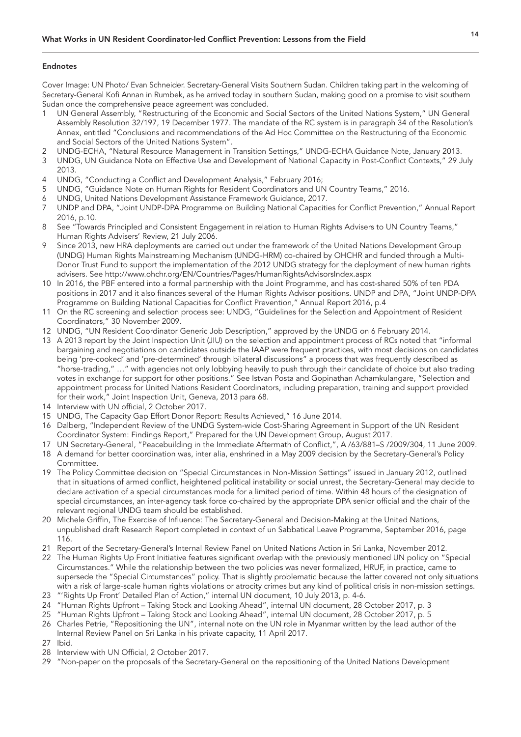# <span id="page-13-0"></span>Endnotes

Cover Image: UN Photo/ Evan Schneider. Secretary-General Visits Southern Sudan. Children taking part in the welcoming of Secretary-General Kofi Annan in Rumbek, as he arrived today in southern Sudan, making good on a promise to visit southern Sudan once the comprehensive peace agreement was concluded.

- [1](#page-2-0) UN General Assembly, "Restructuring of the Economic and Social Sectors of the United Nations System," UN General Assembly Resolution 32/197, 19 December 1977. The mandate of the RC system is in paragraph 34 of the Resolution's Annex, entitled "Conclusions and recommendations of the Ad Hoc Committee on the Restructuring of the Economic and Social Sectors of the United Nations System".
- [2](#page-2-0) UNDG-ECHA, "Natural Resource Management in Transition Settings," UNDG-ECHA Guidance Note, January 2013.
- [3](#page-2-0) UNDG, UN Guidance Note on Effective Use and Development of National Capacity in Post-Conflict Contexts," 29 July 2013.
- [4](#page-2-0) UNDG, "Conducting a Conflict and Development Analysis," February 2016;
- [5](#page-2-0) UNDG, "Guidance Note on Human Rights for Resident Coordinators and UN Country Teams," 2016.
- [6](#page-2-0) UNDG, United Nations Development Assistance Framework Guidance, 2017.
- [7](#page-2-0) UNDP and DPA, "Joint UNDP-DPA Programme on Building National Capacities for Conflict Prevention," Annual Report 2016, p.10.
- [8](#page-2-0) See "Towards Principled and Consistent Engagement in relation to Human Rights Advisers to UN Country Teams," Human Rights Advisers' Review, 21 July 2006.
- Since 2013, new HRA deployments are carried out under the framework of the United Nations Development Group (UNDG) Human Rights Mainstreaming Mechanism (UNDG-HRM) co-chaired by OHCHR and funded through a Multi-Donor Trust Fund to support the implementation of the 2012 UNDG strategy for the deployment of new human rights advisers. See http://www.ohchr.org/EN/Countries/Pages/HumanRightsAdvisorsIndex.aspx
- [10](#page-2-0) In 2016, the PBF entered into a formal partnership with the Joint Programme, and has cost-shared 50% of ten PDA positions in 2017 and it also finances several of the Human Rights Advisor positions. UNDP and DPA, "Joint UNDP-DPA Programme on Building National Capacities for Conflict Prevention," Annual Report 2016, p.4
- [11](#page-2-0) On the RC screening and selection process see: UNDG, "Guidelines for the Selection and Appointment of Resident Coordinators," 30 November 2009.
- [12](#page-2-0) UNDG, "UN Resident Coordinator Generic Job Description," approved by the UNDG on 6 February 2014.
- [13](#page-3-0) A 2013 report by the Joint Inspection Unit (JIU) on the selection and appointment process of RCs noted that "informal bargaining and negotiations on candidates outside the IAAP were frequent practices, with most decisions on candidates being 'pre-cooked' and 'pre-determined' through bilateral discussions" a process that was frequently described as "horse-trading," …" with agencies not only lobbying heavily to push through their candidate of choice but also trading votes in exchange for support for other positions." See Istvan Posta and Gopinathan Achamkulangare, "Selection and appointment process for United Nations Resident Coordinators, including preparation, training and support provided for their work," Joint Inspection Unit, Geneva, 2013 para 68.
- [14](#page-3-0) Interview with UN official, 2 October 2017.
- [15](#page-3-0) UNDG, The Capacity Gap Effort Donor Report: Results Achieved," 16 June 2014.
- [16](#page-3-0) Dalberg, "Independent Review of the UNDG System-wide Cost-Sharing Agreement in Support of the UN Resident Coordinator System: Findings Report," Prepared for the UN Development Group, August 2017.
- [17](#page-3-0) UN Secretary-General, "Peacebuilding in the Immediate Aftermath of Conflict,", A /63/881–S /2009/304, 11 June 2009.
- [18](#page-3-0) A demand for better coordination was, inter alia, enshrined in a May 2009 decision by the Secretary-General's Policy Committee.
- [19](#page-3-0) The Policy Committee decision on "Special Circumstances in Non-Mission Settings" issued in January 2012, outlined that in situations of armed conflict, heightened political instability or social unrest, the Secretary-General may decide to declare activation of a special circumstances mode for a limited period of time. Within 48 hours of the designation of special circumstances, an inter-agency task force co-chaired by the appropriate DPA senior official and the chair of the relevant regional UNDG team should be established.
- [20](#page-3-0) Michele Griffin, The Exercise of Influence: The Secretary-General and Decision-Making at the United Nations, unpublished draft Research Report completed in context of un Sabbatical Leave Programme, September 2016, page 116.
- [21](#page-3-0) Report of the Secretary-General's Internal Review Panel on United Nations Action in Sri Lanka, November 2012.
- [22](#page-3-0) The Human Rights Up Front Initiative features significant overlap with the previously mentioned UN policy on "Special Circumstances." While the relationship between the two policies was never formalized, HRUF, in practice, came to supersede the "Special Circumstances" policy. That is slightly problematic because the latter covered not only situations with a risk of large-scale human rights violations or atrocity crimes but any kind of political crisis in non-mission settings.
- [23](#page-3-0) "'Rights Up Front' Detailed Plan of Action," internal UN document, 10 July 2013, p. 4-6.
- [24](#page-3-0) "Human Rights Upfront Taking Stock and Looking Ahead", internal UN document, 28 October 2017, p. 3
- [25](#page-3-0) "Human Rights Upfront Taking Stock and Looking Ahead", internal UN document, 28 October 2017, p. 5
- [26](#page-3-0) Charles Petrie, "Repositioning the UN", internal note on the UN role in Myanmar written by the lead author of the Internal Review Panel on Sri Lanka in his private capacity, 11 April 2017.
- [27](#page-3-0) Ibid.
- [28](#page-3-0) Interview with UN Official, 2 October 2017.
- [29](#page-3-0) "Non-paper on the proposals of the Secretary-General on the repositioning of the United Nations Development